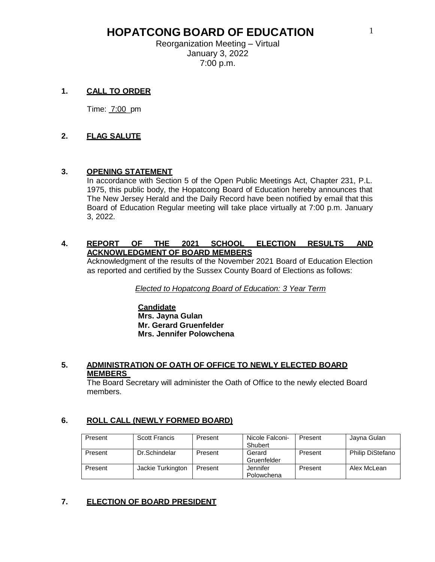Reorganization Meeting – Virtual January 3, 2022 7:00 p.m.

## **1. CALL TO ORDER**

Time: 7:00\_pm

## **2. FLAG SALUTE**

### **3. OPENING STATEMENT**

In accordance with Section 5 of the Open Public Meetings Act, Chapter 231, P.L. 1975, this public body, the Hopatcong Board of Education hereby announces that The New Jersey Herald and the Daily Record have been notified by email that this Board of Education Regular meeting will take place virtually at 7:00 p.m. January 3, 2022.

#### **4. REPORT OF THE 2021 SCHOOL ELECTION RESULTS AND ACKNOWLEDGMENT OF BOARD MEMBERS**

Acknowledgment of the results of the November 2021 Board of Education Election as reported and certified by the Sussex County Board of Elections as follows:

*Elected to Hopatcong Board of Education: 3 Year Term*

#### **Candidate Mrs. Jayna Gulan Mr. Gerard Gruenfelder Mrs. Jennifer Polowchena**

#### **5. ADMINISTRATION OF OATH OF OFFICE TO NEWLY ELECTED BOARD MEMBERS**

The Board Secretary will administer the Oath of Office to the newly elected Board members.

### **6. ROLL CALL (NEWLY FORMED BOARD)**

| Present | Scott Francis     | Present | Nicole Falconi-<br>Shubert | Present | Jayna Gulan             |
|---------|-------------------|---------|----------------------------|---------|-------------------------|
| Present | Dr.Schindelar     | Present | Gerard<br>Gruenfelder      | Present | <b>Philip DiStefano</b> |
| Present | Jackie Turkington | Present | Jennifer<br>Polowchena     | Present | Alex McLean             |

### **7. ELECTION OF BOARD PRESIDENT**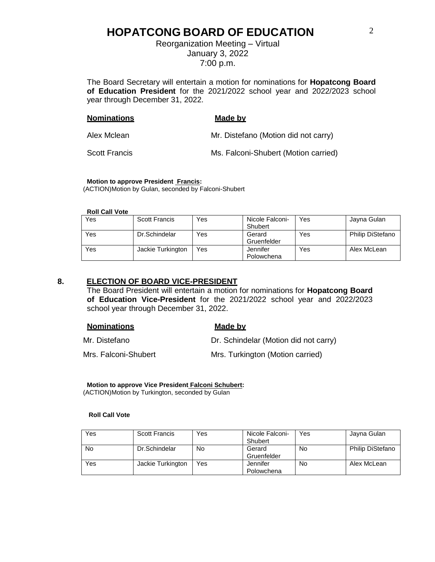Reorganization Meeting – Virtual January 3, 2022 7:00 p.m.

The Board Secretary will entertain a motion for nominations for **Hopatcong Board of Education President** for the 2021/2022 school year and 2022/2023 school year through December 31, 2022.

| <b>Nominations</b>   | Made by                              |
|----------------------|--------------------------------------|
| Alex Mclean          | Mr. Distefano (Motion did not carry) |
| <b>Scott Francis</b> | Ms. Falconi-Shubert (Motion carried) |

#### **Motion to approve President Francis:**

(ACTION)Motion by Gulan, seconded by Falconi-Shubert

**Roll Call Vote**

| Yes | <b>Scott Francis</b> | Yes | Nicole Falconi- | Yes | Jayna Gulan             |
|-----|----------------------|-----|-----------------|-----|-------------------------|
|     |                      |     | Shubert         |     |                         |
| Yes | Dr.Schindelar        | Yes | Gerard          | Yes | <b>Philip DiStefano</b> |
|     |                      |     | Gruenfelder     |     |                         |
| Yes | Jackie Turkington    | Yes | Jennifer        | Yes | Alex McLean             |
|     |                      |     | Polowchena      |     |                         |

#### **8. ELECTION OF BOARD VICE-PRESIDENT**

The Board President will entertain a motion for nominations for **Hopatcong Board of Education Vice-President** for the 2021/2022 school year and 2022/2023 school year through December 31, 2022.

| <b>Nominations</b>   | Made by                               |
|----------------------|---------------------------------------|
| Mr. Distefano        | Dr. Schindelar (Motion did not carry) |
| Mrs. Falconi-Shubert | Mrs. Turkington (Motion carried)      |

**Motion to approve Vice President Falconi Schubert:** (ACTION)Motion by Turkington, seconded by Gulan

#### **Roll Call Vote**

| Yes | <b>Scott Francis</b> | Yes | Nicole Falconi- | Yes | Jayna Gulan      |
|-----|----------------------|-----|-----------------|-----|------------------|
|     |                      |     | Shubert         |     |                  |
| No  | Dr.Schindelar        | No  | Gerard          | No  | Philip DiStefano |
|     |                      |     | Gruenfelder     |     |                  |
| Yes | Jackie Turkington    | Yes | Jennifer        | No  | Alex McLean      |
|     |                      |     | Polowchena      |     |                  |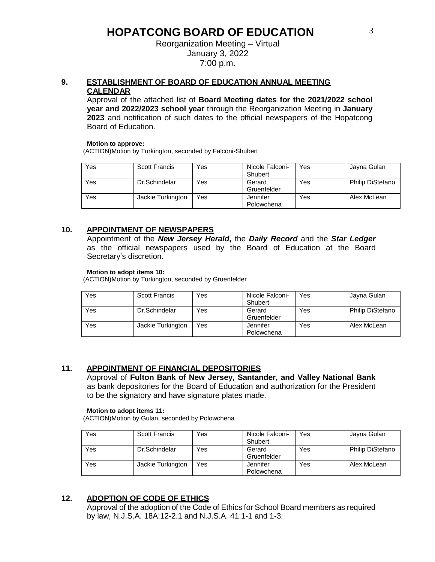#### Reorganization Meeting – Virtual January 3, 2022 7:00 p.m.

## **9. ESTABLISHMENT OF BOARD OF EDUCATION ANNUAL MEETING CALENDAR**

Approval of the attached list of **Board Meeting dates for the 2021/2022 school year and 2022/2023 school year** through the Reorganization Meeting in **January 2023** and notification of such dates to the official newspapers of the Hopatcong Board of Education.

#### **Motion to approve:**

(ACTION)Motion by Turkington, seconded by Falconi-Shubert

| Yes | <b>Scott Francis</b> | Yes | Nicole Falconi-<br>Shubert | Yes | Jayna Gulan             |
|-----|----------------------|-----|----------------------------|-----|-------------------------|
| Yes | Dr.Schindelar        | Yes | Gerard<br>Gruenfelder      | Yes | <b>Philip DiStefano</b> |
| Yes | Jackie Turkington    | Yes | Jennifer<br>Polowchena     | Yes | Alex McLean             |

### **10. APPOINTMENT OF NEWSPAPERS**

Appointment of the *New Jersey Herald***,** the *Daily Record* and the *Star Ledger*  as the official newspapers used by the Board of Education at the Board Secretary's discretion.

#### **Motion to adopt items 10:**

(ACTION)Motion by Turkington, seconded by Gruenfelder

| Yes | <b>Scott Francis</b> | Yes | Nicole Falconi-<br>Shubert | Yes | Jayna Gulan             |
|-----|----------------------|-----|----------------------------|-----|-------------------------|
| Yes | Dr.Schindelar        | Yes | Gerard<br>Gruenfelder      | Yes | <b>Philip DiStefano</b> |
| Yes | Jackie Turkington    | Yes | Jennifer<br>Polowchena     | Yes | Alex McLean             |

## **11. APPOINTMENT OF FINANCIAL DEPOSITORIES**

Approval of **Fulton Bank of New Jersey, Santander, and Valley National Bank**  as bank depositories for the Board of Education and authorization for the President to be the signatory and have signature plates made.

#### **Motion to adopt items 11:**

(ACTION)Motion by Gulan, seconded by Polowchena

| Yes | <b>Scott Francis</b> | Yes | Nicole Falconi-<br>Shubert | Yes | Jayna Gulan             |
|-----|----------------------|-----|----------------------------|-----|-------------------------|
| Yes | Dr.Schindelar        | Yes | Gerard<br>Gruenfelder      | Yes | <b>Philip DiStefano</b> |
| Yes | Jackie Turkington    | Yes | Jennifer<br>Polowchena     | Yes | Alex McLean             |

## **12. ADOPTION OF CODE OF ETHICS**

Approval of the adoption of the Code of Ethics for School Board members as required by law, N.J.S.A. 18A:12-2.1 and N.J.S.A. 41:1-1 and 1-3.